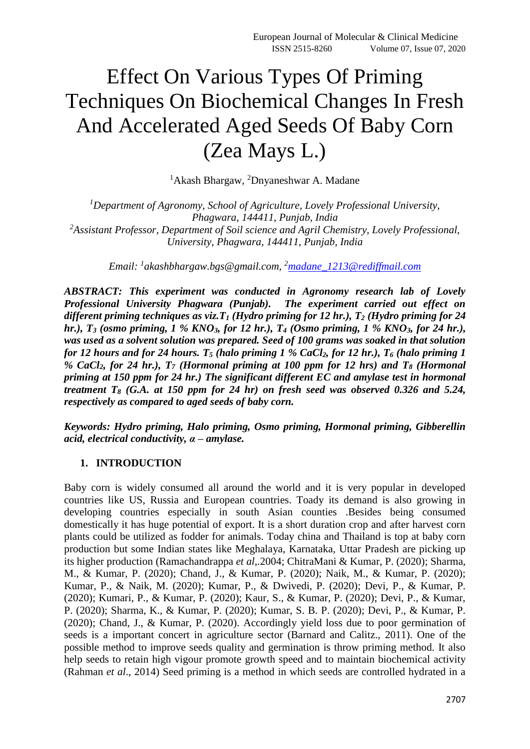# Effect On Various Types Of Priming Techniques On Biochemical Changes In Fresh And Accelerated Aged Seeds Of Baby Corn (Zea Mays L.)

<sup>1</sup>Akash Bhargaw, <sup>2</sup>Dnyaneshwar A. Madane

*<sup>1</sup>Department of Agronomy, School of Agriculture, Lovely Professional University, Phagwara, 144411, Punjab, India <sup>2</sup>Assistant Professor, Department of Soil science and Agril Chemistry, Lovely Professional, University, Phagwara, 144411, Punjab, India*

*Email: <sup>1</sup> akashbhargaw.bgs@gmail.com, <sup>2</sup>[madane\\_1213@rediffmail.com](mailto:madane_1213@rediffmail.com)*

*ABSTRACT: This experiment was conducted in Agronomy research lab of Lovely Professional University Phagwara (Punjab). The experiment carried out effect on different priming techniques as viz.T<sup>1</sup> (Hydro priming for 12 hr.), T<sup>2</sup> (Hydro priming for 24 hr.), T<sup>3</sup> (osmo priming, 1 % KNO3, for 12 hr.), T<sup>4</sup> (Osmo priming, 1 % KNO3, for 24 hr.), was used as a solvent solution was prepared. Seed of 100 grams was soaked in that solution for 12 hours and for 24 hours. T<sup>5</sup> (halo priming 1 % CaCl2, for 12 hr.), T<sup>6</sup> (halo priming 1 % CaCl2, for 24 hr.), T<sup>7</sup> (Hormonal priming at 100 ppm for 12 hrs) and T<sup>8</sup> (Hormonal priming at 150 ppm for 24 hr.) The significant different EC and amylase test in hormonal treatment T<sup>8</sup> (G.A. at 150 ppm for 24 hr) on fresh seed was observed 0.326 and 5.24, respectively as compared to aged seeds of baby corn.* 

*Keywords: Hydro priming, Halo priming, Osmo priming, Hormonal priming, Gibberellin acid, electrical conductivity, α – amylase.*

### **1. INTRODUCTION**

Baby corn is widely consumed all around the world and it is very popular in developed countries like US, Russia and European countries. Toady its demand is also growing in developing countries especially in south Asian counties .Besides being consumed domestically it has huge potential of export. It is a short duration crop and after harvest corn plants could be utilized as fodder for animals. Today china and Thailand is top at baby corn production but some Indian states like Meghalaya, Karnataka, Uttar Pradesh are picking up its higher production (Ramachandrappa *et al,.*2004; ChitraMani & Kumar, P. (2020); Sharma, M., & Kumar, P. (2020); Chand, J., & Kumar, P. (2020); Naik, M., & Kumar, P. (2020); Kumar, P., & Naik, M. (2020); Kumar, P., & Dwivedi, P. (2020); Devi, P., & Kumar, P. (2020); Kumari, P., & Kumar, P. (2020); Kaur, S., & Kumar, P. (2020); Devi, P., & Kumar, P. (2020); Sharma, K., & Kumar, P. (2020); Kumar, S. B. P. (2020); Devi, P., & Kumar, P. (2020); Chand, J., & Kumar, P. (2020). Accordingly yield loss due to poor germination of seeds is a important concert in agriculture sector (Barnard and Calitz., 2011). One of the possible method to improve seeds quality and germination is throw priming method. It also help seeds to retain high vigour promote growth speed and to maintain biochemical activity (Rahman *et al*., 2014) Seed priming is a method in which seeds are controlled hydrated in a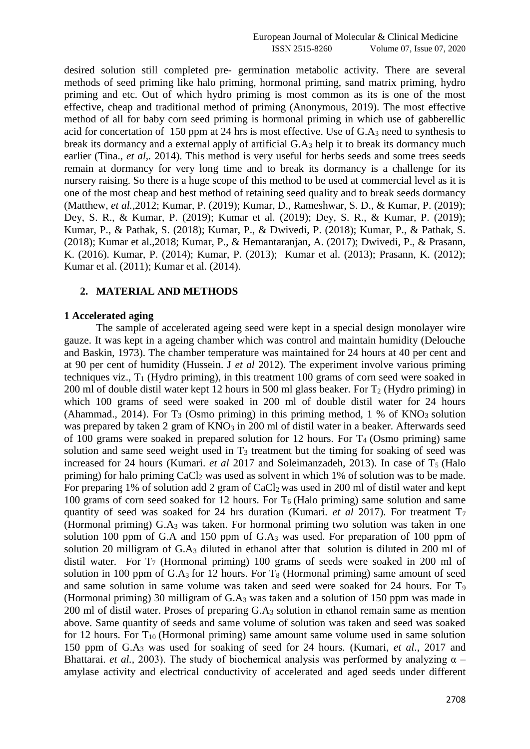desired solution still completed pre- germination metabolic activity. There are several methods of seed priming like halo priming, hormonal priming, sand matrix priming, hydro priming and etc. Out of which hydro priming is most common as its is one of the most effective, cheap and traditional method of priming (Anonymous, 2019). The most effective method of all for baby corn seed priming is hormonal priming in which use of gabberellic acid for concertation of 150 ppm at 24 hrs is most effective. Use of  $G.A_3$  need to synthesis to break its dormancy and a external apply of artificial G.A<sup>3</sup> help it to break its dormancy much earlier (Tina., *et al,.* 2014). This method is very useful for herbs seeds and some trees seeds remain at dormancy for very long time and to break its dormancy is a challenge for its nursery raising. So there is a huge scope of this method to be used at commercial level as it is one of the most cheap and best method of retaining seed quality and to break seeds dormancy (Matthew, *et al.,*2012; Kumar, P. (2019); Kumar, D., Rameshwar, S. D., & Kumar, P. (2019); Dey, S. R., & Kumar, P. (2019); Kumar et al. (2019); Dey, S. R., & Kumar, P. (2019); Kumar, P., & Pathak, S. (2018); Kumar, P., & Dwivedi, P. (2018); Kumar, P., & Pathak, S. (2018); Kumar et al.,2018; Kumar, P., & Hemantaranjan, A. (2017); Dwivedi, P., & Prasann, K. (2016). Kumar, P. (2014); Kumar, P. (2013); Kumar et al. (2013); Prasann, K. (2012); Kumar et al. (2011); Kumar et al. (2014).

#### **2. MATERIAL AND METHODS**

#### **1 Accelerated aging**

The sample of accelerated ageing seed were kept in a special design monolayer wire gauze. It was kept in a ageing chamber which was control and maintain humidity (Delouche and Baskin, 1973). The chamber temperature was maintained for 24 hours at 40 per cent and at 90 per cent of humidity (Hussein. J *et al* 2012). The experiment involve various priming techniques viz.,  $T_1$  (Hydro priming), in this treatment 100 grams of corn seed were soaked in 200 ml of double distil water kept 12 hours in 500 ml glass beaker. For  $T_2$  (Hydro priming) in which 100 grams of seed were soaked in 200 ml of double distil water for 24 hours (Ahammad., 2014). For  $T_3$  (Osmo priming) in this priming method, 1 % of KNO<sub>3</sub> solution was prepared by taken 2 gram of KNO<sub>3</sub> in 200 ml of distil water in a beaker. Afterwards seed of 100 grams were soaked in prepared solution for 12 hours. For  $T_4$  (Osmo priming) same solution and same seed weight used in  $T_3$  treatment but the timing for soaking of seed was increased for 24 hours (Kumari. *et al* 2017 and Soleimanzadeh, 2013). In case of T<sub>5</sub> (Halo priming) for halo priming  $CaCl<sub>2</sub>$  was used as solvent in which 1% of solution was to be made. For preparing 1% of solution add 2 gram of CaCl<sub>2</sub> was used in 200 ml of distil water and kept 100 grams of corn seed soaked for 12 hours. For  $T_6$  (Halo priming) same solution and same quantity of seed was soaked for 24 hrs duration (Kumari. *et al* 2017). For treatment T<sup>7</sup> (Hormonal priming) G.A<sup>3</sup> was taken. For hormonal priming two solution was taken in one solution 100 ppm of G.A and 150 ppm of  $GA_3$  was used. For preparation of 100 ppm of solution 20 milligram of G.A<sup>3</sup> diluted in ethanol after that solution is diluted in 200 ml of distil water. For  $T_7$  (Hormonal priming) 100 grams of seeds were soaked in 200 ml of solution in 100 ppm of  $G.A_3$  for 12 hours. For  $T_8$  (Hormonal priming) same amount of seed and same solution in same volume was taken and seed were soaked for 24 hours. For T<sub>9</sub> (Hormonal priming) 30 milligram of G.A<sup>3</sup> was taken and a solution of 150 ppm was made in 200 ml of distil water. Proses of preparing G.A<sup>3</sup> solution in ethanol remain same as mention above. Same quantity of seeds and same volume of solution was taken and seed was soaked for 12 hours. For  $T_{10}$  (Hormonal priming) same amount same volume used in same solution 150 ppm of G.A<sup>3</sup> was used for soaking of seed for 24 hours. (Kumari, *et al*., 2017 and Bhattarai. *et al.*, 2003). The study of biochemical analysis was performed by analyzing  $\alpha$  – amylase activity and electrical conductivity of accelerated and aged seeds under different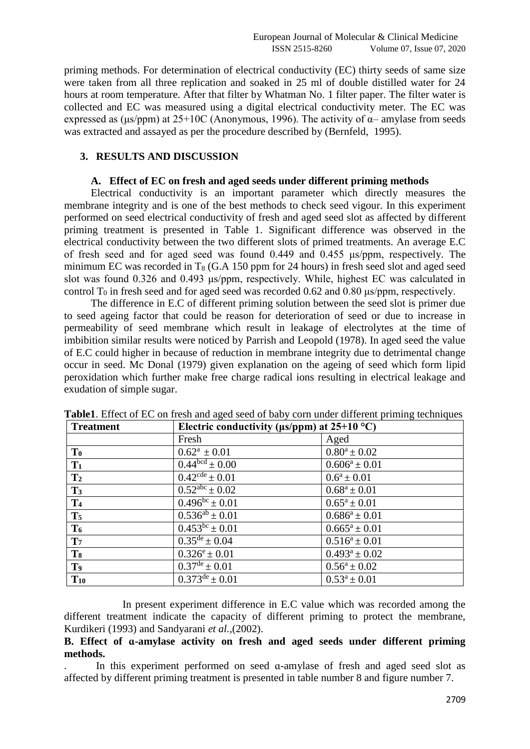priming methods. For determination of electrical conductivity (EC) thirty seeds of same size were taken from all three replication and soaked in 25 ml of double distilled water for 24 hours at room temperature. After that filter by Whatman No. 1 filter paper. The filter water is collected and EC was measured using a digital electrical conductivity meter. The EC was expressed as ( $\mu$ s/ppm) at 25+10C (Anonymous, 1996). The activity of  $\alpha$ – amylase from seeds was extracted and assayed as per the procedure described by (Bernfeld, 1995).

## **3. RESULTS AND DISCUSSION**

### **A. Effect of EC on fresh and aged seeds under different priming methods**

Electrical conductivity is an important parameter which directly measures the membrane integrity and is one of the best methods to check seed vigour. In this experiment performed on seed electrical conductivity of fresh and aged seed slot as affected by different priming treatment is presented in Table 1. Significant difference was observed in the electrical conductivity between the two different slots of primed treatments. An average E.C of fresh seed and for aged seed was found 0.449 and 0.455 μs/ppm, respectively. The minimum EC was recorded in  $T_8$  (G.A 150 ppm for 24 hours) in fresh seed slot and aged seed slot was found 0.326 and 0.493 μs/ppm, respectively. While, highest EC was calculated in control  $T_0$  in fresh seed and for aged seed was recorded 0.62 and 0.80 μs/ppm, respectively.

The difference in E.C of different priming solution between the seed slot is primer due to seed ageing factor that could be reason for deterioration of seed or due to increase in permeability of seed membrane which result in leakage of electrolytes at the time of imbibition similar results were noticed by Parrish and Leopold (1978). In aged seed the value of E.C could higher in because of reduction in membrane integrity due to detrimental change occur in seed. Mc Donal (1979) given explanation on the ageing of seed which form lipid peroxidation which further make free charge radical ions resulting in electrical leakage and exudation of simple sugar.

| <b>Treatment</b> | Electric conductivity ( $\mu s$ /ppm) at 25+10 °C) |                    |
|------------------|----------------------------------------------------|--------------------|
|                  | Fresh                                              | Aged               |
| T <sub>0</sub>   | $0.62^a \pm 0.01$                                  | $0.80^a \pm 0.02$  |
| $T_1$            | $\overline{0.44^{\text{bcd}}} \pm 0.00$            | $0.606^a \pm 0.01$ |
| $\mathbf{T}_2$   | $\sqrt{0.42}$ <sup>cde</sup> ± 0.01                | $0.6^a \pm 0.01$   |
| $T_3$            | $0.52^{abc} \pm 0.02$                              | $0.68^a \pm 0.01$  |
| T <sub>4</sub>   | $0.496^{bc} \pm 0.01$                              | $0.65^a \pm 0.01$  |
| T <sub>5</sub>   | $0.536^{ab} \pm 0.01$                              | $0.686^a \pm 0.01$ |
| T <sub>6</sub>   | $0.453^{bc} \pm 0.01$                              | $0.665^a \pm 0.01$ |
| T <sub>7</sub>   | $\overline{0.35}^{\text{de}} \pm 0.04$             | $0.516^a \pm 0.01$ |
| T <sub>8</sub>   | $0.326^e \pm 0.01$                                 | $0.493^a \pm 0.02$ |
| T <sub>9</sub>   | $0.37^{\text{de}} \pm 0.01$                        | $0.56^a \pm 0.02$  |
| $T_{10}$         | $0.373^{\text{de}} \pm 0.01$                       | $0.53^a \pm 0.01$  |

**Table1**. Effect of EC on fresh and aged seed of baby corn under different priming techniques

In present experiment difference in E.C value which was recorded among the different treatment indicate the capacity of different priming to protect the membrane, Kurdikeri (1993) and Sandyarani *et al.,*(2002).

### **B. Effect of ɑ-amylase activity on fresh and aged seeds under different priming methods.**

. In this experiment performed on seed ɑ-amylase of fresh and aged seed slot as affected by different priming treatment is presented in table number 8 and figure number 7.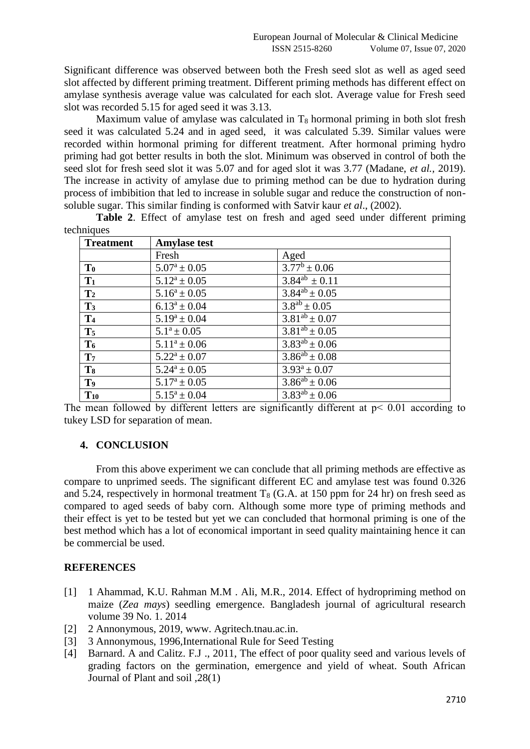Significant difference was observed between both the Fresh seed slot as well as aged seed slot affected by different priming treatment. Different priming methods has different effect on amylase synthesis average value was calculated for each slot. Average value for Fresh seed slot was recorded 5.15 for aged seed it was 3.13.

Maximum value of amylase was calculated in  $T_8$  hormonal priming in both slot fresh seed it was calculated 5.24 and in aged seed, it was calculated 5.39. Similar values were recorded within hormonal priming for different treatment. After hormonal priming hydro priming had got better results in both the slot. Minimum was observed in control of both the seed slot for fresh seed slot it was 5.07 and for aged slot it was 3.77 (Madane, *et al.,* 2019). The increase in activity of amylase due to priming method can be due to hydration during process of imbibition that led to increase in soluble sugar and reduce the construction of nonsoluble sugar. This similar finding is conformed with Satvir kaur *et al*., (2002).

**Table 2**. Effect of amylase test on fresh and aged seed under different priming techniques **Treatment Amylase test**

| <b>Treatment</b> | <b>Amylase test</b> |                                       |
|------------------|---------------------|---------------------------------------|
|                  | Fresh               | Aged                                  |
| $\mathbf{T_0}$   | $5.07^a \pm 0.05$   | $3.77^b \pm 0.06$                     |
| $T_1$            | $5.12^a \pm 0.05$   | $\frac{1}{3.84}$ <sup>ab</sup> ± 0.11 |
| $\mathbf{T}_2$   | $5.16^a \pm 0.05$   | $\frac{3.84^{ab} \pm 0.05}{b}$        |
| T <sub>3</sub>   | $6.13^a \pm 0.04$   | $\frac{1}{3.8}$ <sup>ab</sup> ± 0.05  |
| T <sub>4</sub>   | $5.19^a \pm 0.04$   | $3.81^{ab} \pm 0.07$                  |
| $T_5$            | $5.1^a \pm 0.05$    | $3.81^{ab} \pm 0.05$                  |
| T <sub>6</sub>   | $5.11^a \pm 0.06$   | $3.83^{ab} \pm 0.06$                  |
| T <sub>7</sub>   | $5.22^a \pm 0.07$   | $3.86^{ab} \pm 0.08$                  |
| T <sub>8</sub>   | $5.24^a \pm 0.05$   | $3.93^a \pm 0.07$                     |
| T <sub>9</sub>   | $5.17^a \pm 0.05$   | $\overline{3.86^{ab}} \pm 0.06$       |
| $T_{10}$         | $5.15^a \pm 0.04$   | $3.83^{ab} \pm 0.06$                  |

The mean followed by different letters are significantly different at  $p < 0.01$  according to tukey LSD for separation of mean.

# **4. CONCLUSION**

From this above experiment we can conclude that all priming methods are effective as compare to unprimed seeds. The significant different EC and amylase test was found 0.326 and 5.24, respectively in hormonal treatment  $T_8$  (G.A. at 150 ppm for 24 hr) on fresh seed as compared to aged seeds of baby corn. Although some more type of priming methods and their effect is yet to be tested but yet we can concluded that hormonal priming is one of the best method which has a lot of economical important in seed quality maintaining hence it can be commercial be used.

# **REFERENCES**

- [1] 1 Ahammad, K.U. Rahman M.M. Ali, M.R., 2014. Effect of hydropriming method on maize (*Zea mays*) seedling emergence. Bangladesh journal of agricultural research volume 39 No. 1. 2014
- [2] 2 Annonymous, 2019, www. Agritech.tnau.ac.in.
- [3] 3 Annonymous, 1996,International Rule for Seed Testing
- [4] Barnard. A and Calitz. F.J., 2011, The effect of poor quality seed and various levels of grading factors on the germination, emergence and yield of wheat. South African Journal of Plant and soil ,28(1)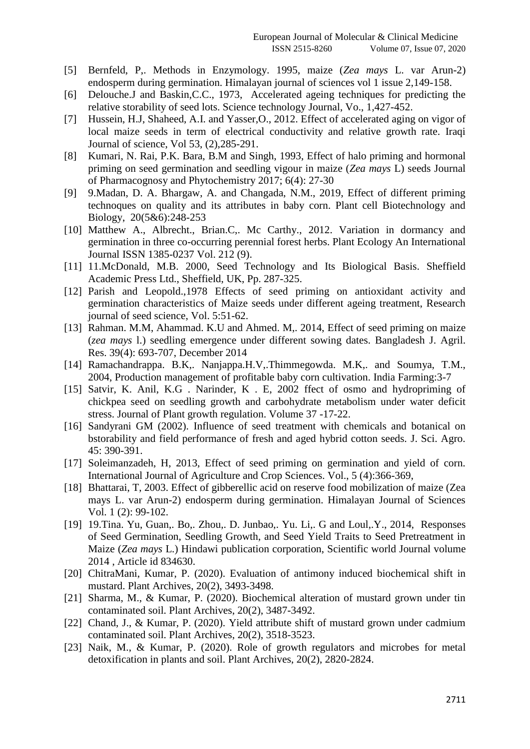- [5] Bernfeld, P,. Methods in Enzymology. 1995, maize (*Zea mays* L. var Arun-2) endosperm during germination. Himalayan journal of sciences vol 1 issue 2,149-158.
- [6] Delouche.J and Baskin,C.C., 1973, Accelerated ageing techniques for predicting the relative storability of seed lots. Science technology Journal, Vo., 1,427-452.
- [7] Hussein, H.J, Shaheed, A.I. and Yasser,O., 2012. Effect of accelerated aging on vigor of local maize seeds in term of electrical conductivity and relative growth rate. Iraqi Journal of science, Vol 53, (2),285-291.
- [8] Kumari, N. Rai, P.K. Bara, B.M and Singh, 1993, Effect of halo priming and hormonal priming on seed germination and seedling vigour in maize (*Zea mays* L) seeds Journal of Pharmacognosy and Phytochemistry 2017; 6(4): 27-30
- [9] 9.Madan, D. A. Bhargaw, A. and Changada, N.M., 2019, Effect of different priming technoques on quality and its attributes in baby corn. Plant cell Biotechnology and Biology, 20(5&6):248-253
- [10] Matthew A., Albrecht., Brian.C,. Mc Carthy., 2012. Variation in dormancy and germination in three co-occurring perennial forest herbs. Plant Ecology An International Journal ISSN 1385-0237 Vol. 212 (9).
- [11] 11.McDonald, M.B. 2000, Seed Technology and Its Biological Basis. Sheffield Academic Press Ltd., Sheffield, UK, Pp. 287-325.
- [12] Parish and Leopold.,1978 Effects of seed priming on antioxidant activity and germination characteristics of Maize seeds under different ageing treatment, Research journal of seed science, Vol. 5:51-62.
- [13] Rahman, M.M, Ahammad, K.U and Ahmed. M., 2014, Effect of seed priming on maize (*zea mays* l.) seedling emergence under different sowing dates. Bangladesh J. Agril. Res. 39(4): 693-707, December 2014
- [14] Ramachandrappa. B.K,. Nanjappa.H.V,.Thimmegowda. M.K,. and Soumya, T.M., 2004, Production management of profitable baby corn cultivation. India Farming:3-7
- [15] Satvir, K. Anil, K.G . Narinder, K . E, 2002 ffect of osmo and hydropriming of chickpea seed on seedling growth and carbohydrate metabolism under water deficit stress. Journal of Plant growth regulation. Volume 37 -17-22.
- [16] Sandyrani GM (2002). Influence of seed treatment with chemicals and botanical on bstorability and field performance of fresh and aged hybrid cotton seeds. J. Sci. Agro. 45: 390-391.
- [17] Soleimanzadeh, H, 2013, Effect of seed priming on germination and yield of corn. International Journal of Agriculture and Crop Sciences. Vol., 5 (4):366-369,
- [18] Bhattarai, T, 2003. Effect of gibberellic acid on reserve food mobilization of maize (Zea mays L. var Arun-2) endosperm during germination. Himalayan Journal of Sciences Vol. 1 (2): 99-102.
- [19] 19.Tina. Yu, Guan,. Bo,. Zhou,. D. Junbao,. Yu. Li,. G and Loul,.Y., 2014, Responses of Seed Germination, Seedling Growth, and Seed Yield Traits to Seed Pretreatment in Maize (*Zea mays* L.) Hindawi publication corporation, Scientific world Journal volume 2014 , Article id 834630.
- [20] ChitraMani, Kumar, P. (2020). Evaluation of antimony induced biochemical shift in mustard. Plant Archives, 20(2), 3493-3498.
- [21] Sharma, M., & Kumar, P. (2020). Biochemical alteration of mustard grown under tin contaminated soil. Plant Archives, 20(2), 3487-3492.
- [22] Chand, J., & Kumar, P. (2020). Yield attribute shift of mustard grown under cadmium contaminated soil. Plant Archives, 20(2), 3518-3523.
- [23] Naik, M., & Kumar, P. (2020). Role of growth regulators and microbes for metal detoxification in plants and soil. Plant Archives, 20(2), 2820-2824.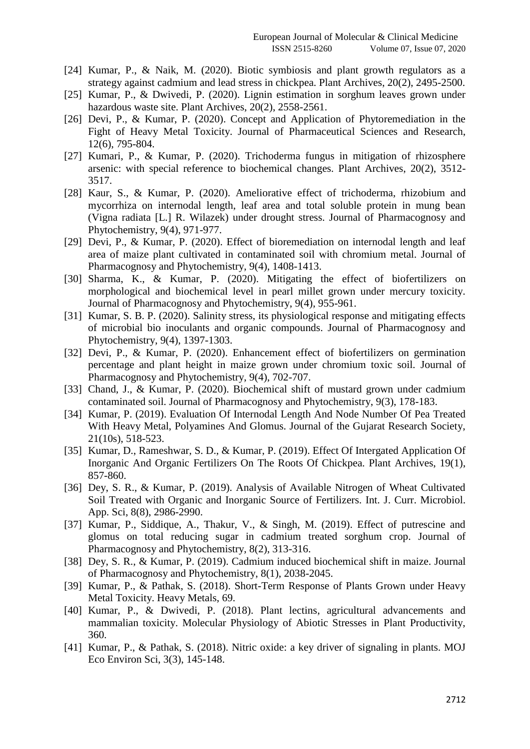- [24] Kumar, P., & Naik, M. (2020). Biotic symbiosis and plant growth regulators as a strategy against cadmium and lead stress in chickpea. Plant Archives, 20(2), 2495-2500.
- [25] Kumar, P., & Dwivedi, P. (2020). Lignin estimation in sorghum leaves grown under hazardous waste site. Plant Archives, 20(2), 2558-2561.
- [26] Devi, P., & Kumar, P. (2020). Concept and Application of Phytoremediation in the Fight of Heavy Metal Toxicity. Journal of Pharmaceutical Sciences and Research, 12(6), 795-804.
- [27] Kumari, P., & Kumar, P. (2020). Trichoderma fungus in mitigation of rhizosphere arsenic: with special reference to biochemical changes. Plant Archives, 20(2), 3512- 3517.
- [28] Kaur, S., & Kumar, P. (2020). Ameliorative effect of trichoderma, rhizobium and mycorrhiza on internodal length, leaf area and total soluble protein in mung bean (Vigna radiata [L.] R. Wilazek) under drought stress. Journal of Pharmacognosy and Phytochemistry, 9(4), 971-977.
- [29] Devi, P., & Kumar, P. (2020). Effect of bioremediation on internodal length and leaf area of maize plant cultivated in contaminated soil with chromium metal. Journal of Pharmacognosy and Phytochemistry, 9(4), 1408-1413.
- [30] Sharma, K., & Kumar, P. (2020). Mitigating the effect of biofertilizers on morphological and biochemical level in pearl millet grown under mercury toxicity. Journal of Pharmacognosy and Phytochemistry, 9(4), 955-961.
- [31] Kumar, S. B. P. (2020). Salinity stress, its physiological response and mitigating effects of microbial bio inoculants and organic compounds. Journal of Pharmacognosy and Phytochemistry, 9(4), 1397-1303.
- [32] Devi, P., & Kumar, P. (2020). Enhancement effect of biofertilizers on germination percentage and plant height in maize grown under chromium toxic soil. Journal of Pharmacognosy and Phytochemistry, 9(4), 702-707.
- [33] Chand, J., & Kumar, P. (2020). Biochemical shift of mustard grown under cadmium contaminated soil. Journal of Pharmacognosy and Phytochemistry, 9(3), 178-183.
- [34] Kumar, P. (2019). Evaluation Of Internodal Length And Node Number Of Pea Treated With Heavy Metal, Polyamines And Glomus. Journal of the Gujarat Research Society, 21(10s), 518-523.
- [35] Kumar, D., Rameshwar, S. D., & Kumar, P. (2019). Effect Of Intergated Application Of Inorganic And Organic Fertilizers On The Roots Of Chickpea. Plant Archives, 19(1), 857-860.
- [36] Dey, S. R., & Kumar, P. (2019). Analysis of Available Nitrogen of Wheat Cultivated Soil Treated with Organic and Inorganic Source of Fertilizers. Int. J. Curr. Microbiol. App. Sci, 8(8), 2986-2990.
- [37] Kumar, P., Siddique, A., Thakur, V., & Singh, M. (2019). Effect of putrescine and glomus on total reducing sugar in cadmium treated sorghum crop. Journal of Pharmacognosy and Phytochemistry, 8(2), 313-316.
- [38] Dey, S. R., & Kumar, P. (2019). Cadmium induced biochemical shift in maize. Journal of Pharmacognosy and Phytochemistry, 8(1), 2038-2045.
- [39] Kumar, P., & Pathak, S. (2018). Short-Term Response of Plants Grown under Heavy Metal Toxicity. Heavy Metals, 69.
- [40] Kumar, P., & Dwivedi, P. (2018). Plant lectins, agricultural advancements and mammalian toxicity. Molecular Physiology of Abiotic Stresses in Plant Productivity, 360.
- [41] Kumar, P., & Pathak, S. (2018). Nitric oxide: a key driver of signaling in plants. MOJ Eco Environ Sci, 3(3), 145-148.